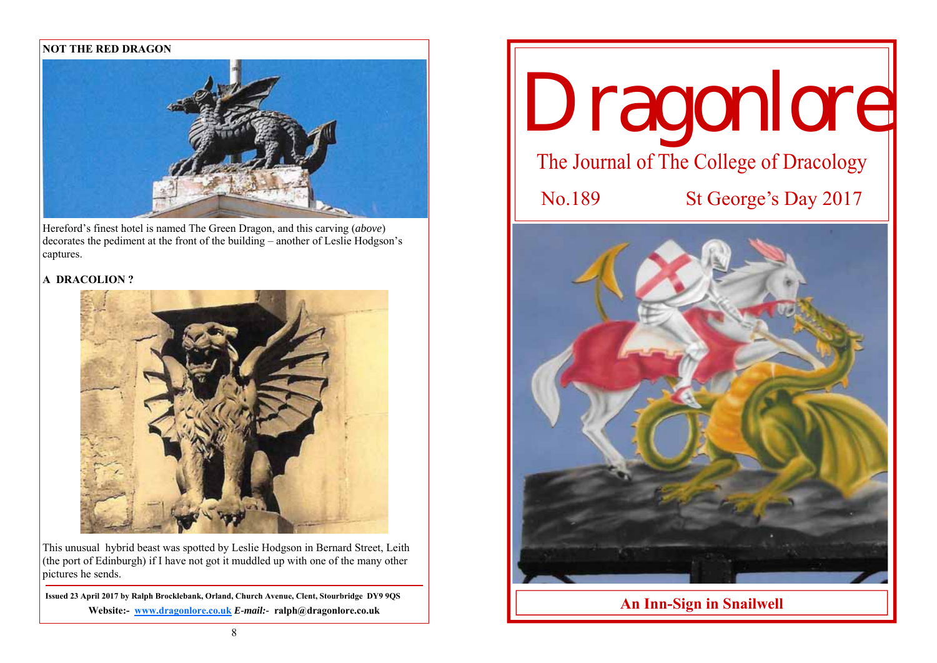## **NOT THE RED DRAGON**



Hereford's finest hotel is named The Green Dragon, and this carving (*above*) decorates the pediment at the front of the building – another of Leslie Hodgson's captures.

# **A DRACOLION ?**



This unusual hybrid beast was spotted by Leslie Hodgson in Bernard Street, Leith (the port of Edinburgh) if I have not got it muddled up with one of the many other pictures he sends.

**Issued 23 April 2017 by Ralph Brocklebank, Orland, Church Avenue, Clent, Stourbridge DY9 9QS Website:- www.dragonlore.co.uk** *E-mail:-* **ralph@dragonlore.co.uk**

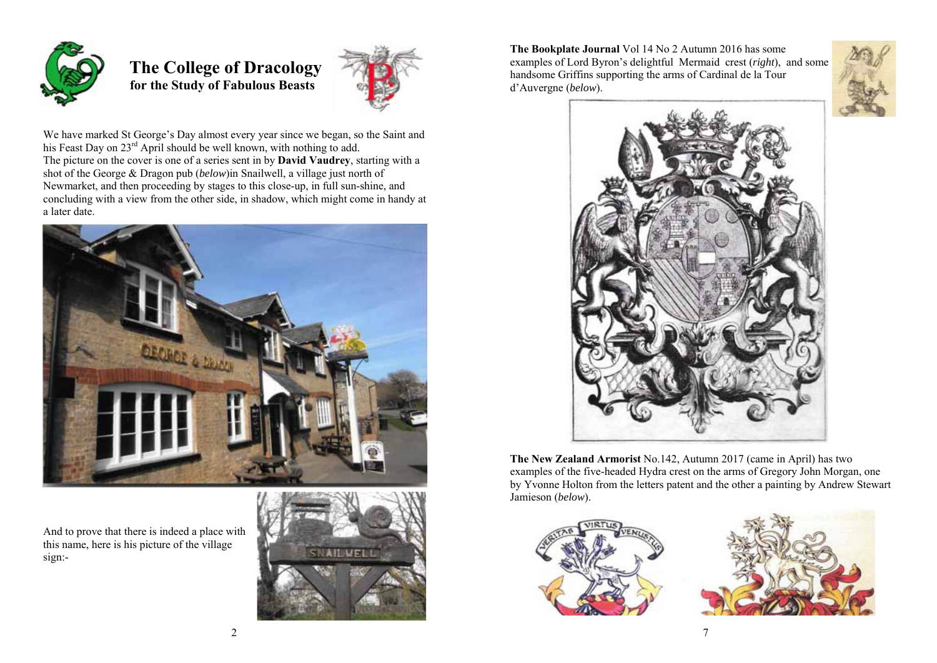

 **The College of Dracology for the Study of Fabulous Beasts** 



We have marked St George's Day almost every year since we began, so the Saint and his Feast Day on 23<sup>rd</sup> April should be well known, with nothing to add. The picture on the cover is one of a series sent in by **David Vaudrey**, starting with a shot of the George & Dragon pub (*below*)in Snailwell, a village just north of Newmarket, and then proceeding by stages to this close-up, in full sun-shine, and concluding with a view from the other side, in shadow, which might come in handy at a later date.



And to prove that there is indeed a place with this name, here is his picture of the village sign:-



**The Bookplate Journal** Vol 14 No 2 Autumn 2016 has some examples of Lord Byron's delightful Mermaid crest (*right*), and some handsome Griffins supporting the arms of Cardinal de la Tour d'Auvergne (*below*).





**The New Zealand Armorist** No.142, Autumn 2017 (came in April) has two examples of the five-headed Hydra crest on the arms of Gregory John Morgan, one by Yvonne Holton from the letters patent and the other a painting by Andrew Stewart Jamieson (*below*).





 $7\phantom{.0}$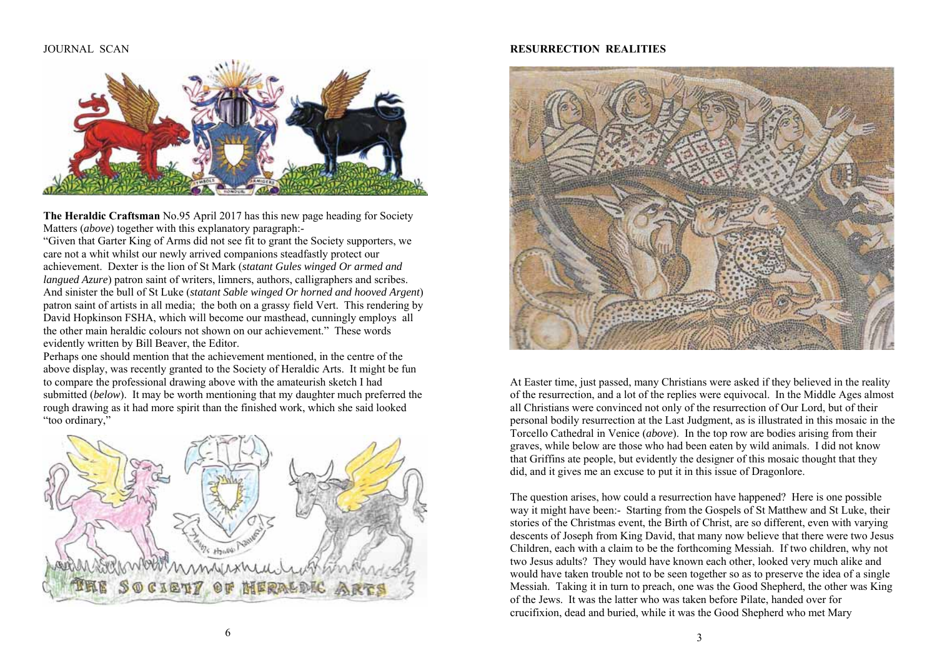#### **JOURNAL SCAN**



**The Heraldic Craftsman** No.95 April 2017 has this new page heading for Society Matters (*above*) together with this explanatory paragraph:-

"Given that Garter King of Arms did not see fit to grant the Society supporters, we care not a whit whilst our newly arrived companions steadfastly protect our achievement. Dexter is the lion of St Mark (*statant Gules winged Or armed and langued Azure*) patron saint of writers, limners, authors, calligraphers and scribes. And sinister the bull of St Luke (*statant Sable winged Or horned and hooved Argent*) patron saint of artists in all media; the both on a grassy field Vert. This rendering by David Hopkinson FSHA, which will become our masthead, cunningly employs all the other main heraldic colours not shown on our achievement." These words evidently written by Bill Beaver, the Editor.

Perhaps one should mention that the achievement mentioned, in the centre of the above display, was recently granted to the Society of Heraldic Arts. It might be fun to compare the professional drawing above with the amateurish sketch I had submitted (*below*). It may be worth mentioning that my daughter much preferred the rough drawing as it had more spirit than the finished work, which she said looked "too ordinary,"



### **RESURRECTION REALITIES**



At Easter time, just passed, many Christians were asked if they believed in the reality of the resurrection, and a lot of the replies were equivocal. In the Middle Ages almost all Christians were convinced not only of the resurrection of Our Lord, but of their personal bodily resurrection at the Last Judgment, as is illustrated in this mosaic in the Torcello Cathedral in Venice (*above*). In the top row are bodies arising from their graves, while below are those who had been eaten by wild animals. I did not know that Griffins ate people, but evidently the designer of this mosaic thought that they did, and it gives me an excuse to put it in this issue of Dragonlore.

The question arises, how could a resurrection have happened? Here is one possible way it might have been:- Starting from the Gospels of St Matthew and St Luke, their stories of the Christmas event, the Birth of Christ, are so different, even with varying descents of Joseph from King David, that many now believe that there were two Jesus Children, each with a claim to be the forthcoming Messiah. If two children, why not two Jesus adults? They would have known each other, looked very much alike and would have taken trouble not to be seen together so as to preserve the idea of a single Messiah. Taking it in turn to preach, one was the Good Shepherd, the other was King of the Jews. It was the latter who was taken before Pilate, handed over for crucifixion, dead and buried, while it was the Good Shepherd who met Mary